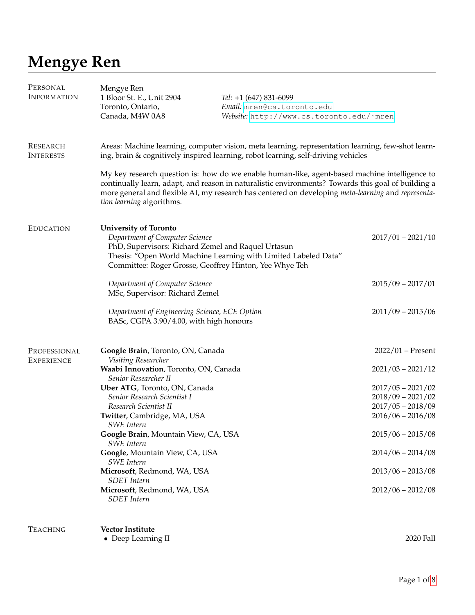# **Mengye Ren**

| PERSONAL<br><b>INFORMATION</b>      | Mengye Ren<br>1 Bloor St. E., Unit 2904<br>Toronto, Ontario,<br>Canada, M4W 0A8                                                                                                | Tel: $+1$ (647) 831-6099<br>Email: mren@cs.toronto.edu<br>Website: http://www.cs.toronto.edu/~mren                                                                                                                                                                                                        |                                                                                          |
|-------------------------------------|--------------------------------------------------------------------------------------------------------------------------------------------------------------------------------|-----------------------------------------------------------------------------------------------------------------------------------------------------------------------------------------------------------------------------------------------------------------------------------------------------------|------------------------------------------------------------------------------------------|
| <b>RESEARCH</b><br><b>INTERESTS</b> |                                                                                                                                                                                | Areas: Machine learning, computer vision, meta learning, representation learning, few-shot learn-<br>ing, brain & cognitively inspired learning, robot learning, self-driving vehicles                                                                                                                    |                                                                                          |
|                                     | tion learning algorithms.                                                                                                                                                      | My key research question is: how do we enable human-like, agent-based machine intelligence to<br>continually learn, adapt, and reason in naturalistic environments? Towards this goal of building a<br>more general and flexible AI, my research has centered on developing meta-learning and representa- |                                                                                          |
| <b>EDUCATION</b>                    | <b>University of Toronto</b><br>Department of Computer Science<br>PhD, Supervisors: Richard Zemel and Raquel Urtasun<br>Committee: Roger Grosse, Geoffrey Hinton, Yee Whye Teh | Thesis: "Open World Machine Learning with Limited Labeled Data"                                                                                                                                                                                                                                           | $2017/01 - 2021/10$                                                                      |
|                                     | Department of Computer Science<br>MSc, Supervisor: Richard Zemel                                                                                                               |                                                                                                                                                                                                                                                                                                           | $2015/09 - 2017/01$                                                                      |
|                                     | Department of Engineering Science, ECE Option<br>BASc, CGPA 3.90/4.00, with high honours                                                                                       |                                                                                                                                                                                                                                                                                                           | $2011/09 - 2015/06$                                                                      |
| PROFESSIONAL<br><b>EXPERIENCE</b>   | Google Brain, Toronto, ON, Canada<br>Visiting Researcher                                                                                                                       |                                                                                                                                                                                                                                                                                                           | $2022/01$ – Present                                                                      |
|                                     | Waabi Innovation, Toronto, ON, Canada<br>Senior Researcher II                                                                                                                  |                                                                                                                                                                                                                                                                                                           | $2021/03 - 2021/12$                                                                      |
|                                     | Uber ATG, Toronto, ON, Canada<br>Senior Research Scientist I<br>Research Scientist II<br>Twitter, Cambridge, MA, USA                                                           |                                                                                                                                                                                                                                                                                                           | $2017/05 - 2021/02$<br>$2018/09 - 2021/02$<br>$2017/05 - 2018/09$<br>$2016/06 - 2016/08$ |
|                                     | <b>SWE</b> Intern<br>Google Brain, Mountain View, CA, USA                                                                                                                      |                                                                                                                                                                                                                                                                                                           | $2015/06 - 2015/08$                                                                      |
|                                     | <b>SWE</b> Intern<br>Google, Mountain View, CA, USA                                                                                                                            |                                                                                                                                                                                                                                                                                                           | $2014/06 - 2014/08$                                                                      |
|                                     | <b>SWE</b> Intern<br>Microsoft, Redmond, WA, USA                                                                                                                               |                                                                                                                                                                                                                                                                                                           | $2013/06 - 2013/08$                                                                      |
|                                     | <b>SDET</b> Intern<br>Microsoft, Redmond, WA, USA<br><b>SDET</b> Intern                                                                                                        |                                                                                                                                                                                                                                                                                                           | $2012/06 - 2012/08$                                                                      |
| <b>TEACHING</b>                     | <b>Vector Institute</b>                                                                                                                                                        |                                                                                                                                                                                                                                                                                                           |                                                                                          |
|                                     | • Deep Learning II                                                                                                                                                             |                                                                                                                                                                                                                                                                                                           | 2020 Fall                                                                                |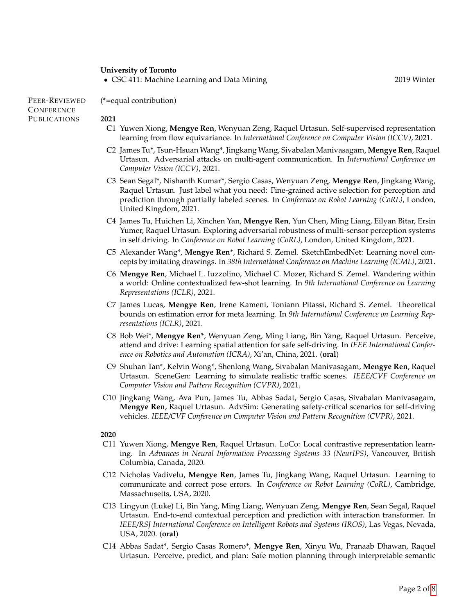## **University of Toronto**

(\*=equal contribution)

• CSC 411: Machine Learning and Data Mining 2019 Winter 2019 Winter

PEER-REVIEWED **CONFERENCE PUBLICATIONS** 

#### **2021**

- C1 Yuwen Xiong, **Mengye Ren**, Wenyuan Zeng, Raquel Urtasun. Self-supervised representation learning from flow equivariance. In *International Conference on Computer Vision (ICCV)*, 2021.
- C2 James Tu\*, Tsun-Hsuan Wang\*, Jingkang Wang, Sivabalan Manivasagam, **Mengye Ren**, Raquel Urtasun. Adversarial attacks on multi-agent communication. In *International Conference on Computer Vision (ICCV)*, 2021.
- C3 Sean Segal\*, Nishanth Kumar\*, Sergio Casas, Wenyuan Zeng, **Mengye Ren**, Jingkang Wang, Raquel Urtasun. Just label what you need: Fine-grained active selection for perception and prediction through partially labeled scenes. In *Conference on Robot Learning (CoRL)*, London, United Kingdom, 2021.
- C4 James Tu, Huichen Li, Xinchen Yan, **Mengye Ren**, Yun Chen, Ming Liang, Eilyan Bitar, Ersin Yumer, Raquel Urtasun. Exploring adversarial robustness of multi-sensor perception systems in self driving. In *Conference on Robot Learning (CoRL)*, London, United Kingdom, 2021.
- C5 Alexander Wang\*, **Mengye Ren**\*, Richard S. Zemel. SketchEmbedNet: Learning novel concepts by imitating drawings. In *38th International Conference on Machine Learning (ICML)*, 2021.
- C6 **Mengye Ren**, Michael L. Iuzzolino, Michael C. Mozer, Richard S. Zemel. Wandering within a world: Online contextualized few-shot learning. In *9th International Conference on Learning Representations (ICLR)*, 2021.
- C7 James Lucas, **Mengye Ren**, Irene Kameni, Toniann Pitassi, Richard S. Zemel. Theoretical bounds on estimation error for meta learning. In *9th International Conference on Learning Representations (ICLR)*, 2021.
- C8 Bob Wei\*, **Mengye Ren**\*, Wenyuan Zeng, Ming Liang, Bin Yang, Raquel Urtasun. Perceive, attend and drive: Learning spatial attention for safe self-driving. In *IEEE International Conference on Robotics and Automation (ICRA)*, Xi'an, China, 2021. (**oral**)
- C9 Shuhan Tan\*, Kelvin Wong\*, Shenlong Wang, Sivabalan Manivasagam, **Mengye Ren**, Raquel Urtasun. SceneGen: Learning to simulate realistic traffic scenes. *IEEE/CVF Conference on Computer Vision and Pattern Recognition (CVPR)*, 2021.
- C10 Jingkang Wang, Ava Pun, James Tu, Abbas Sadat, Sergio Casas, Sivabalan Manivasagam, **Mengye Ren**, Raquel Urtasun. AdvSim: Generating safety-critical scenarios for self-driving vehicles. *IEEE/CVF Conference on Computer Vision and Pattern Recognition (CVPR)*, 2021.

**2020**

- C11 Yuwen Xiong, **Mengye Ren**, Raquel Urtasun. LoCo: Local contrastive representation learning. In *Advances in Neural Information Processing Systems 33 (NeurIPS)*, Vancouver, British Columbia, Canada, 2020.
- C12 Nicholas Vadivelu, **Mengye Ren**, James Tu, Jingkang Wang, Raquel Urtasun. Learning to communicate and correct pose errors. In *Conference on Robot Learning (CoRL)*, Cambridge, Massachusetts, USA, 2020.
- C13 Lingyun (Luke) Li, Bin Yang, Ming Liang, Wenyuan Zeng, **Mengye Ren**, Sean Segal, Raquel Urtasun. End-to-end contextual perception and prediction with interaction transformer. In *IEEE/RSJ International Conference on Intelligent Robots and Systems (IROS)*, Las Vegas, Nevada, USA, 2020. (**oral**)
- C14 Abbas Sadat\*, Sergio Casas Romero\*, **Mengye Ren**, Xinyu Wu, Pranaab Dhawan, Raquel Urtasun. Perceive, predict, and plan: Safe motion planning through interpretable semantic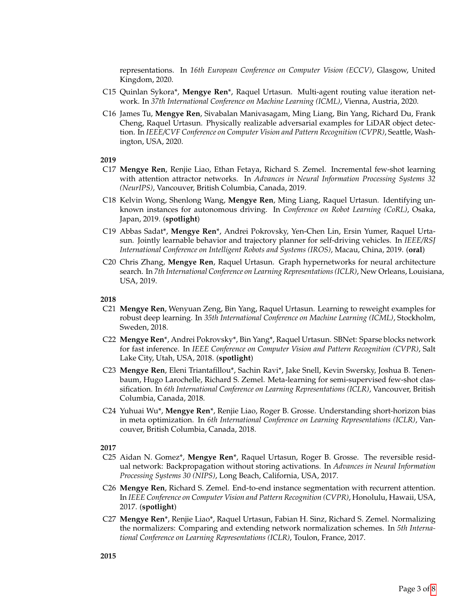representations. In *16th European Conference on Computer Vision (ECCV)*, Glasgow, United Kingdom, 2020.

- C15 Quinlan Sykora\*, **Mengye Ren**\*, Raquel Urtasun. Multi-agent routing value iteration network. In *37th International Conference on Machine Learning (ICML)*, Vienna, Austria, 2020.
- C16 James Tu, **Mengye Ren**, Sivabalan Manivasagam, Ming Liang, Bin Yang, Richard Du, Frank Cheng, Raquel Urtasun. Physically realizable adversarial examples for LiDAR object detection. In *IEEE/CVF Conference on Computer Vision and Pattern Recognition (CVPR)*, Seattle, Washington, USA, 2020.

#### **2019**

- C17 **Mengye Ren**, Renjie Liao, Ethan Fetaya, Richard S. Zemel. Incremental few-shot learning with attention attractor networks. In *Advances in Neural Information Processing Systems 32 (NeurIPS)*, Vancouver, British Columbia, Canada, 2019.
- C18 Kelvin Wong, Shenlong Wang, **Mengye Ren**, Ming Liang, Raquel Urtasun. Identifying unknown instances for autonomous driving. In *Conference on Robot Learning (CoRL)*, Osaka, Japan, 2019. (**spotlight**)
- C19 Abbas Sadat\*, **Mengye Ren**\*, Andrei Pokrovsky, Yen-Chen Lin, Ersin Yumer, Raquel Urtasun. Jointly learnable behavior and trajectory planner for self-driving vehicles. In *IEEE/RSJ International Conference on Intelligent Robots and Systems (IROS)*, Macau, China, 2019. (**oral**)
- C20 Chris Zhang, **Mengye Ren**, Raquel Urtasun. Graph hypernetworks for neural architecture search. In *7th International Conference on Learning Representations (ICLR)*, New Orleans, Louisiana, USA, 2019.

#### **2018**

- C21 **Mengye Ren**, Wenyuan Zeng, Bin Yang, Raquel Urtasun. Learning to reweight examples for robust deep learning. In *35th International Conference on Machine Learning (ICML)*, Stockholm, Sweden, 2018.
- C22 **Mengye Ren**\*, Andrei Pokrovsky\*, Bin Yang\*, Raquel Urtasun. SBNet: Sparse blocks network for fast inference. In *IEEE Conference on Computer Vision and Pattern Recognition (CVPR)*, Salt Lake City, Utah, USA, 2018. (**spotlight**)
- C23 **Mengye Ren**, Eleni Triantafillou\*, Sachin Ravi\*, Jake Snell, Kevin Swersky, Joshua B. Tenenbaum, Hugo Larochelle, Richard S. Zemel. Meta-learning for semi-supervised few-shot classification. In *6th International Conference on Learning Representations (ICLR)*, Vancouver, British Columbia, Canada, 2018.
- C24 Yuhuai Wu\*, **Mengye Ren**\*, Renjie Liao, Roger B. Grosse. Understanding short-horizon bias in meta optimization. In *6th International Conference on Learning Representations (ICLR)*, Vancouver, British Columbia, Canada, 2018.

**2017**

- C25 Aidan N. Gomez\*, **Mengye Ren**\*, Raquel Urtasun, Roger B. Grosse. The reversible residual network: Backpropagation without storing activations. In *Advances in Neural Information Processing Systems 30 (NIPS)*, Long Beach, California, USA, 2017.
- C26 **Mengye Ren**, Richard S. Zemel. End-to-end instance segmentation with recurrent attention. In *IEEE Conference on Computer Vision and Pattern Recognition (CVPR)*, Honolulu, Hawaii, USA, 2017. (**spotlight**)
- C27 **Mengye Ren**\*, Renjie Liao\*, Raquel Urtasun, Fabian H. Sinz, Richard S. Zemel. Normalizing the normalizers: Comparing and extending network normalization schemes. In *5th International Conference on Learning Representations (ICLR)*, Toulon, France, 2017.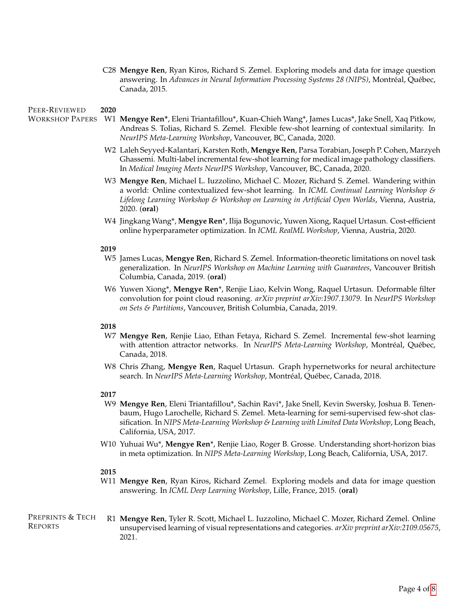C28 **Mengye Ren**, Ryan Kiros, Richard S. Zemel. Exploring models and data for image question answering. In *Advances in Neural Information Processing Systems 28 (NIPS)*, Montréal, Québec, Canada, 2015.

#### PEER-REVIEWED **2020**

- WORKSHOP PAPERS W1 **Mengye Ren\***, Eleni Triantafillou\*, Kuan-Chieh Wang\*, James Lucas\*, Jake Snell, Xaq Pitkow, Andreas S. Tolias, Richard S. Zemel. Flexible few-shot learning of contextual similarity. In *NeurIPS Meta-Learning Workshop*, Vancouver, BC, Canada, 2020.
	- W2 Laleh Seyyed-Kalantari, Karsten Roth, **Mengye Ren**, Parsa Torabian, Joseph P. Cohen, Marzyeh Ghassemi. Multi-label incremental few-shot learning for medical image pathology classifiers. In *Medical Imaging Meets NeurIPS Workshop*, Vancouver, BC, Canada, 2020.
	- W3 **Mengye Ren**, Michael L. Iuzzolino, Michael C. Mozer, Richard S. Zemel. Wandering within a world: Online contextualized few-shot learning. In *ICML Continual Learning Workshop & Lifelong Learning Workshop & Workshop on Learning in Artificial Open Worlds*, Vienna, Austria, 2020. (**oral**)
	- W4 Jingkang Wang\*, **Mengye Ren**\*, Ilija Bogunovic, Yuwen Xiong, Raquel Urtasun. Cost-efficient online hyperparameter optimization. In *ICML RealML Workshop*, Vienna, Austria, 2020.

#### **2019**

- W5 James Lucas, **Mengye Ren**, Richard S. Zemel. Information-theoretic limitations on novel task generalization. In *NeurIPS Workshop on Machine Learning with Guarantees*, Vancouver British Columbia, Canada, 2019. (**oral**)
- W6 Yuwen Xiong\*, **Mengye Ren**\*, Renjie Liao, Kelvin Wong, Raquel Urtasun. Deformable filter convolution for point cloud reasoning. *arXiv preprint arXiv:1907.13079*. In *NeurIPS Workshop on Sets & Partitions*, Vancouver, British Columbia, Canada, 2019.

### **2018**

- W7 **Mengye Ren**, Renjie Liao, Ethan Fetaya, Richard S. Zemel. Incremental few-shot learning with attention attractor networks. In *NeurIPS Meta-Learning Workshop*, Montréal, Québec, Canada, 2018.
- W8 Chris Zhang, **Mengye Ren**, Raquel Urtasun. Graph hypernetworks for neural architecture search. In *NeurIPS Meta-Learning Workshop*, Montréal, Québec, Canada, 2018.

#### **2017**

- W9 **Mengye Ren**, Eleni Triantafillou\*, Sachin Ravi\*, Jake Snell, Kevin Swersky, Joshua B. Tenenbaum, Hugo Larochelle, Richard S. Zemel. Meta-learning for semi-supervised few-shot classification. In *NIPS Meta-Learning Workshop & Learning with Limited Data Workshop*, Long Beach, California, USA, 2017.
- W10 Yuhuai Wu\*, **Mengye Ren**\*, Renjie Liao, Roger B. Grosse. Understanding short-horizon bias in meta optimization. In *NIPS Meta-Learning Workshop*, Long Beach, California, USA, 2017.

#### **2015**

W11 **Mengye Ren**, Ryan Kiros, Richard Zemel. Exploring models and data for image question answering. In *ICML Deep Learning Workshop*, Lille, France, 2015. (**oral**)

PREPRINTS & TECH REPORTS R1 **Mengye Ren**, Tyler R. Scott, Michael L. Iuzzolino, Michael C. Mozer, Richard Zemel. Online unsupervised learning of visual representations and categories. *arXiv preprint arXiv:2109.05675*, 2021.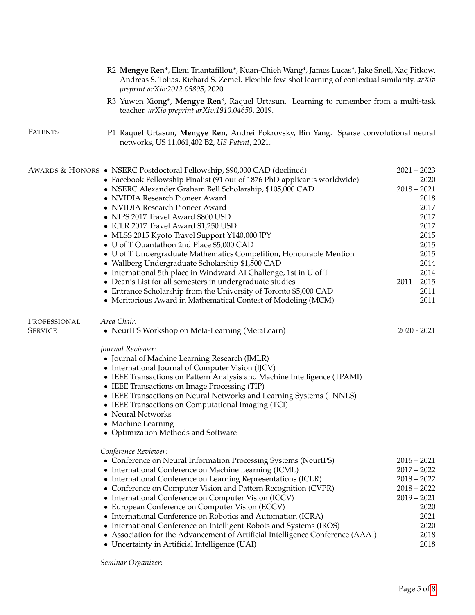|                                | R2 Mengye Ren*, Eleni Triantafillou*, Kuan-Chieh Wang*, James Lucas*, Jake Snell, Xaq Pitkow,<br>Andreas S. Tolias, Richard S. Zemel. Flexible few-shot learning of contextual similarity. arXiv<br>preprint arXiv:2012.05895, 2020.                                                                                                                                                                                                                                                                                                                                                                                                                                                                                                                                                                                                                                |                                                                                                                                                 |
|--------------------------------|---------------------------------------------------------------------------------------------------------------------------------------------------------------------------------------------------------------------------------------------------------------------------------------------------------------------------------------------------------------------------------------------------------------------------------------------------------------------------------------------------------------------------------------------------------------------------------------------------------------------------------------------------------------------------------------------------------------------------------------------------------------------------------------------------------------------------------------------------------------------|-------------------------------------------------------------------------------------------------------------------------------------------------|
|                                | R3 Yuwen Xiong*, Mengye Ren*, Raquel Urtasun. Learning to remember from a multi-task<br>teacher. arXiv preprint arXiv:1910.04650, 2019.                                                                                                                                                                                                                                                                                                                                                                                                                                                                                                                                                                                                                                                                                                                             |                                                                                                                                                 |
| <b>PATENTS</b>                 | P1 Raquel Urtasun, Mengye Ren, Andrei Pokrovsky, Bin Yang. Sparse convolutional neural<br>networks, US 11,061,402 B2, US Patent, 2021.                                                                                                                                                                                                                                                                                                                                                                                                                                                                                                                                                                                                                                                                                                                              |                                                                                                                                                 |
|                                | AWARDS & HONORS • NSERC Postdoctoral Fellowship, \$90,000 CAD (declined)<br>• Facebook Fellowship Finalist (91 out of 1876 PhD applicants worldwide)<br>· NSERC Alexander Graham Bell Scholarship, \$105,000 CAD<br>• NVIDIA Research Pioneer Award<br>• NVIDIA Research Pioneer Award<br>• NIPS 2017 Travel Award \$800 USD<br>• ICLR 2017 Travel Award \$1,250 USD<br>• MLSS 2015 Kyoto Travel Support ¥140,000 JPY<br>• U of T Quantathon 2nd Place \$5,000 CAD<br>• U of T Undergraduate Mathematics Competition, Honourable Mention<br>· Wallberg Undergraduate Scholarship \$1,500 CAD<br>• International 5th place in Windward AI Challenge, 1st in U of T<br>• Dean's List for all semesters in undergraduate studies<br>• Entrance Scholarship from the University of Toronto \$5,000 CAD<br>• Meritorious Award in Mathematical Contest of Modeling (MCM) | $2021 - 2023$<br>2020<br>$2018 - 2021$<br>2018<br>2017<br>2017<br>2017<br>2015<br>2015<br>2015<br>2014<br>2014<br>$2011 - 2015$<br>2011<br>2011 |
| PROFESSIONAL<br><b>SERVICE</b> | Area Chair:<br>• NeurIPS Workshop on Meta-Learning (MetaLearn)<br>Journal Reviewer:<br>• Journal of Machine Learning Research (JMLR)<br>• International Journal of Computer Vision (IJCV)<br>• IEEE Transactions on Pattern Analysis and Machine Intelligence (TPAMI)<br>• IEEE Transactions on Image Processing (TIP)<br>• IEEE Transactions on Neural Networks and Learning Systems (TNNLS)<br>• IEEE Transactions on Computational Imaging (TCI)<br>• Neural Networks<br>• Machine Learning<br>• Optimization Methods and Software                                                                                                                                                                                                                                                                                                                               | $2020 - 2021$                                                                                                                                   |
|                                | Conference Reviewer:<br>• Conference on Neural Information Processing Systems (NeurIPS)<br>• International Conference on Machine Learning (ICML)<br>• International Conference on Learning Representations (ICLR)<br>• Conference on Computer Vision and Pattern Recognition (CVPR)<br>• International Conference on Computer Vision (ICCV)<br>• European Conference on Computer Vision (ECCV)<br>• International Conference on Robotics and Automation (ICRA)<br>• International Conference on Intelligent Robots and Systems (IROS)<br>• Association for the Advancement of Artificial Intelligence Conference (AAAI)<br>• Uncertainty in Artificial Intelligence (UAI)                                                                                                                                                                                           | $2016 - 2021$<br>$2017 - 2022$<br>$2018 - 2022$<br>$2018 - 2022$<br>$2019 - 2021$<br>2020<br>2021<br>2020<br>2018<br>2018                       |

*Seminar Organizer:*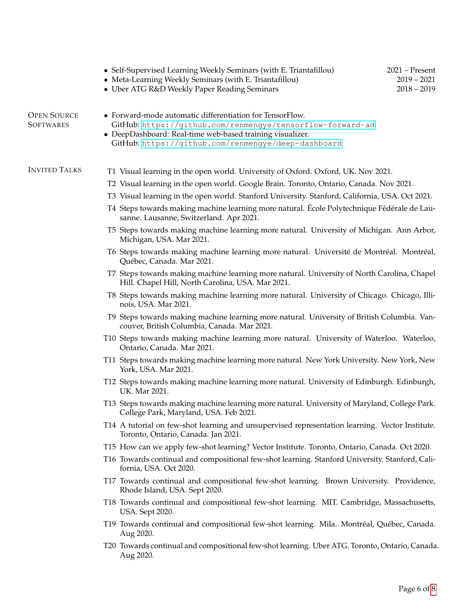| <b>OPEN SOURCE</b><br>• Forward-mode automatic differentiation for TensorFlow.<br><b>SOFTWARES</b><br>GitHub: https://github.com/renmengye/tensorflow-forward-ad<br>• DeepDashboard: Real-time web-based training visualizer.<br>GitHub: https://github.com/renmengye/deep-dashboard<br><b>INVITED TALKS</b><br>T1 Visual learning in the open world. University of Oxford. Oxford, UK. Nov 2021.<br>T2 Visual learning in the open world. Google Brain. Toronto, Ontario, Canada. Nov 2021.<br>T3 Visual learning in the open world. Stanford University. Stanford, California, USA. Oct 2021.<br>T4 Steps towards making machine learning more natural. École Polytechnique Fédérale de Lau-<br>sanne. Lausanne, Switzerland. Apr 2021.<br>T5 Steps towards making machine learning more natural. University of Michigan. Ann Arbor,<br>Michigan, USA. Mar 2021.<br>T6 Steps towards making machine learning more natural. Université de Montréal. Montréal,<br>Québec, Canada. Mar 2021.<br>T7 Steps towards making machine learning more natural. University of North Carolina, Chapel<br>Hill. Chapel Hill, North Carolina, USA. Mar 2021.<br>T8 Steps towards making machine learning more natural. University of Chicago. Chicago, Illi-<br>nois, USA. Mar 2021.<br>T9 Steps towards making machine learning more natural. University of British Columbia. Van-<br>couver, British Columbia, Canada. Mar 2021.<br>T10 Steps towards making machine learning more natural. University of Waterloo. Waterloo,<br>Ontario, Canada. Mar 2021.<br>T11 Steps towards making machine learning more natural. New York University. New York, New<br>York, USA. Mar 2021.<br>T12 Steps towards making machine learning more natural. University of Edinburgh. Edinburgh,<br>UK. Mar 2021.<br>T13 Steps towards making machine learning more natural. University of Maryland, College Park.<br>College Park, Maryland, USA. Feb 2021.<br>T14 A tutorial on few-shot learning and unsupervised representation learning. Vector Institute.<br>Toronto, Ontario, Canada. Jan 2021.<br>T15 How can we apply few-shot learning? Vector Institute. Toronto, Ontario, Canada. Oct 2020.<br>T16 Towards continual and compositional few-shot learning. Stanford University. Stanford, Cali-<br>fornia, USA. Oct 2020.<br>T17 Towards continual and compositional few-shot learning. Brown University. Providence,<br>Rhode Island, USA. Sept 2020.<br>T18 Towards continual and compositional few-shot learning. MIT. Cambridge, Massachusetts, |
|-------------------------------------------------------------------------------------------------------------------------------------------------------------------------------------------------------------------------------------------------------------------------------------------------------------------------------------------------------------------------------------------------------------------------------------------------------------------------------------------------------------------------------------------------------------------------------------------------------------------------------------------------------------------------------------------------------------------------------------------------------------------------------------------------------------------------------------------------------------------------------------------------------------------------------------------------------------------------------------------------------------------------------------------------------------------------------------------------------------------------------------------------------------------------------------------------------------------------------------------------------------------------------------------------------------------------------------------------------------------------------------------------------------------------------------------------------------------------------------------------------------------------------------------------------------------------------------------------------------------------------------------------------------------------------------------------------------------------------------------------------------------------------------------------------------------------------------------------------------------------------------------------------------------------------------------------------------------------------------------------------------------------------------------------------------------------------------------------------------------------------------------------------------------------------------------------------------------------------------------------------------------------------------------------------------------------------------------------------------------------------------------------------------------------------------------------------------------------------------------------------------------------------------|
|                                                                                                                                                                                                                                                                                                                                                                                                                                                                                                                                                                                                                                                                                                                                                                                                                                                                                                                                                                                                                                                                                                                                                                                                                                                                                                                                                                                                                                                                                                                                                                                                                                                                                                                                                                                                                                                                                                                                                                                                                                                                                                                                                                                                                                                                                                                                                                                                                                                                                                                                     |
|                                                                                                                                                                                                                                                                                                                                                                                                                                                                                                                                                                                                                                                                                                                                                                                                                                                                                                                                                                                                                                                                                                                                                                                                                                                                                                                                                                                                                                                                                                                                                                                                                                                                                                                                                                                                                                                                                                                                                                                                                                                                                                                                                                                                                                                                                                                                                                                                                                                                                                                                     |
|                                                                                                                                                                                                                                                                                                                                                                                                                                                                                                                                                                                                                                                                                                                                                                                                                                                                                                                                                                                                                                                                                                                                                                                                                                                                                                                                                                                                                                                                                                                                                                                                                                                                                                                                                                                                                                                                                                                                                                                                                                                                                                                                                                                                                                                                                                                                                                                                                                                                                                                                     |
|                                                                                                                                                                                                                                                                                                                                                                                                                                                                                                                                                                                                                                                                                                                                                                                                                                                                                                                                                                                                                                                                                                                                                                                                                                                                                                                                                                                                                                                                                                                                                                                                                                                                                                                                                                                                                                                                                                                                                                                                                                                                                                                                                                                                                                                                                                                                                                                                                                                                                                                                     |
|                                                                                                                                                                                                                                                                                                                                                                                                                                                                                                                                                                                                                                                                                                                                                                                                                                                                                                                                                                                                                                                                                                                                                                                                                                                                                                                                                                                                                                                                                                                                                                                                                                                                                                                                                                                                                                                                                                                                                                                                                                                                                                                                                                                                                                                                                                                                                                                                                                                                                                                                     |
|                                                                                                                                                                                                                                                                                                                                                                                                                                                                                                                                                                                                                                                                                                                                                                                                                                                                                                                                                                                                                                                                                                                                                                                                                                                                                                                                                                                                                                                                                                                                                                                                                                                                                                                                                                                                                                                                                                                                                                                                                                                                                                                                                                                                                                                                                                                                                                                                                                                                                                                                     |
|                                                                                                                                                                                                                                                                                                                                                                                                                                                                                                                                                                                                                                                                                                                                                                                                                                                                                                                                                                                                                                                                                                                                                                                                                                                                                                                                                                                                                                                                                                                                                                                                                                                                                                                                                                                                                                                                                                                                                                                                                                                                                                                                                                                                                                                                                                                                                                                                                                                                                                                                     |
|                                                                                                                                                                                                                                                                                                                                                                                                                                                                                                                                                                                                                                                                                                                                                                                                                                                                                                                                                                                                                                                                                                                                                                                                                                                                                                                                                                                                                                                                                                                                                                                                                                                                                                                                                                                                                                                                                                                                                                                                                                                                                                                                                                                                                                                                                                                                                                                                                                                                                                                                     |
|                                                                                                                                                                                                                                                                                                                                                                                                                                                                                                                                                                                                                                                                                                                                                                                                                                                                                                                                                                                                                                                                                                                                                                                                                                                                                                                                                                                                                                                                                                                                                                                                                                                                                                                                                                                                                                                                                                                                                                                                                                                                                                                                                                                                                                                                                                                                                                                                                                                                                                                                     |
|                                                                                                                                                                                                                                                                                                                                                                                                                                                                                                                                                                                                                                                                                                                                                                                                                                                                                                                                                                                                                                                                                                                                                                                                                                                                                                                                                                                                                                                                                                                                                                                                                                                                                                                                                                                                                                                                                                                                                                                                                                                                                                                                                                                                                                                                                                                                                                                                                                                                                                                                     |
|                                                                                                                                                                                                                                                                                                                                                                                                                                                                                                                                                                                                                                                                                                                                                                                                                                                                                                                                                                                                                                                                                                                                                                                                                                                                                                                                                                                                                                                                                                                                                                                                                                                                                                                                                                                                                                                                                                                                                                                                                                                                                                                                                                                                                                                                                                                                                                                                                                                                                                                                     |
|                                                                                                                                                                                                                                                                                                                                                                                                                                                                                                                                                                                                                                                                                                                                                                                                                                                                                                                                                                                                                                                                                                                                                                                                                                                                                                                                                                                                                                                                                                                                                                                                                                                                                                                                                                                                                                                                                                                                                                                                                                                                                                                                                                                                                                                                                                                                                                                                                                                                                                                                     |
|                                                                                                                                                                                                                                                                                                                                                                                                                                                                                                                                                                                                                                                                                                                                                                                                                                                                                                                                                                                                                                                                                                                                                                                                                                                                                                                                                                                                                                                                                                                                                                                                                                                                                                                                                                                                                                                                                                                                                                                                                                                                                                                                                                                                                                                                                                                                                                                                                                                                                                                                     |
|                                                                                                                                                                                                                                                                                                                                                                                                                                                                                                                                                                                                                                                                                                                                                                                                                                                                                                                                                                                                                                                                                                                                                                                                                                                                                                                                                                                                                                                                                                                                                                                                                                                                                                                                                                                                                                                                                                                                                                                                                                                                                                                                                                                                                                                                                                                                                                                                                                                                                                                                     |
|                                                                                                                                                                                                                                                                                                                                                                                                                                                                                                                                                                                                                                                                                                                                                                                                                                                                                                                                                                                                                                                                                                                                                                                                                                                                                                                                                                                                                                                                                                                                                                                                                                                                                                                                                                                                                                                                                                                                                                                                                                                                                                                                                                                                                                                                                                                                                                                                                                                                                                                                     |
|                                                                                                                                                                                                                                                                                                                                                                                                                                                                                                                                                                                                                                                                                                                                                                                                                                                                                                                                                                                                                                                                                                                                                                                                                                                                                                                                                                                                                                                                                                                                                                                                                                                                                                                                                                                                                                                                                                                                                                                                                                                                                                                                                                                                                                                                                                                                                                                                                                                                                                                                     |
|                                                                                                                                                                                                                                                                                                                                                                                                                                                                                                                                                                                                                                                                                                                                                                                                                                                                                                                                                                                                                                                                                                                                                                                                                                                                                                                                                                                                                                                                                                                                                                                                                                                                                                                                                                                                                                                                                                                                                                                                                                                                                                                                                                                                                                                                                                                                                                                                                                                                                                                                     |
|                                                                                                                                                                                                                                                                                                                                                                                                                                                                                                                                                                                                                                                                                                                                                                                                                                                                                                                                                                                                                                                                                                                                                                                                                                                                                                                                                                                                                                                                                                                                                                                                                                                                                                                                                                                                                                                                                                                                                                                                                                                                                                                                                                                                                                                                                                                                                                                                                                                                                                                                     |
| USA. Sept 2020.                                                                                                                                                                                                                                                                                                                                                                                                                                                                                                                                                                                                                                                                                                                                                                                                                                                                                                                                                                                                                                                                                                                                                                                                                                                                                                                                                                                                                                                                                                                                                                                                                                                                                                                                                                                                                                                                                                                                                                                                                                                                                                                                                                                                                                                                                                                                                                                                                                                                                                                     |
| T19 Towards continual and compositional few-shot learning. Mila. Montréal, Québec, Canada.<br>Aug 2020.                                                                                                                                                                                                                                                                                                                                                                                                                                                                                                                                                                                                                                                                                                                                                                                                                                                                                                                                                                                                                                                                                                                                                                                                                                                                                                                                                                                                                                                                                                                                                                                                                                                                                                                                                                                                                                                                                                                                                                                                                                                                                                                                                                                                                                                                                                                                                                                                                             |
| T20 Towards continual and compositional few-shot learning. Uber ATG. Toronto, Ontario, Canada.<br>Aug 2020.                                                                                                                                                                                                                                                                                                                                                                                                                                                                                                                                                                                                                                                                                                                                                                                                                                                                                                                                                                                                                                                                                                                                                                                                                                                                                                                                                                                                                                                                                                                                                                                                                                                                                                                                                                                                                                                                                                                                                                                                                                                                                                                                                                                                                                                                                                                                                                                                                         |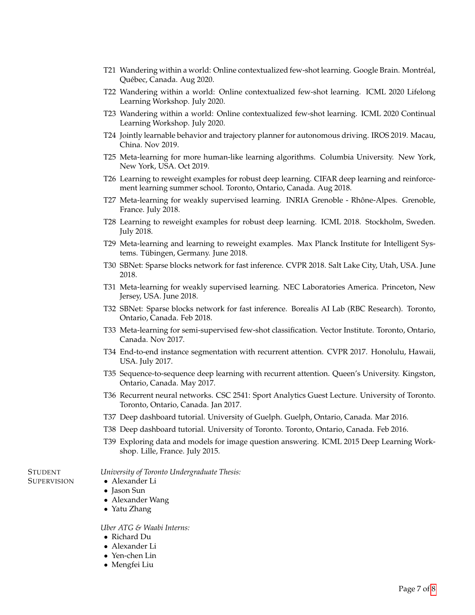- T21 Wandering within a world: Online contextualized few-shot learning. Google Brain. Montreal, ´ Quebec, Canada. Aug 2020. ´
- T22 Wandering within a world: Online contextualized few-shot learning. ICML 2020 Lifelong Learning Workshop. July 2020.
- T23 Wandering within a world: Online contextualized few-shot learning. ICML 2020 Continual Learning Workshop. July 2020.
- T24 Jointly learnable behavior and trajectory planner for autonomous driving. IROS 2019. Macau, China. Nov 2019.
- T25 Meta-learning for more human-like learning algorithms. Columbia University. New York, New York, USA. Oct 2019.
- T26 Learning to reweight examples for robust deep learning. CIFAR deep learning and reinforcement learning summer school. Toronto, Ontario, Canada. Aug 2018.
- T27 Meta-learning for weakly supervised learning. INRIA Grenoble Rhône-Alpes. Grenoble, France. July 2018.
- T28 Learning to reweight examples for robust deep learning. ICML 2018. Stockholm, Sweden. July 2018.
- T29 Meta-learning and learning to reweight examples. Max Planck Institute for Intelligent Systems. Tübingen, Germany. June 2018.
- T30 SBNet: Sparse blocks network for fast inference. CVPR 2018. Salt Lake City, Utah, USA. June 2018.
- T31 Meta-learning for weakly supervised learning. NEC Laboratories America. Princeton, New Jersey, USA. June 2018.
- T32 SBNet: Sparse blocks network for fast inference. Borealis AI Lab (RBC Research). Toronto, Ontario, Canada. Feb 2018.
- T33 Meta-learning for semi-supervised few-shot classification. Vector Institute. Toronto, Ontario, Canada. Nov 2017.
- T34 End-to-end instance segmentation with recurrent attention. CVPR 2017. Honolulu, Hawaii, USA. July 2017.
- T35 Sequence-to-sequence deep learning with recurrent attention. Queen's University. Kingston, Ontario, Canada. May 2017.
- T36 Recurrent neural networks. CSC 2541: Sport Analytics Guest Lecture. University of Toronto. Toronto, Ontario, Canada. Jan 2017.
- T37 Deep dashboard tutorial. University of Guelph. Guelph, Ontario, Canada. Mar 2016.
- T38 Deep dashboard tutorial. University of Toronto. Toronto, Ontario, Canada. Feb 2016.
- T39 Exploring data and models for image question answering. ICML 2015 Deep Learning Workshop. Lille, France. July 2015.

#### *University of Toronto Undergraduate Thesis:*

- Alexander Li
- Jason Sun

**STUDENT SUPERVISION** 

- Alexander Wang
- Yatu Zhang

#### *Uber ATG & Waabi Interns:*

- Richard Du
- Alexander Li
- Yen-chen Lin
- Mengfei Liu